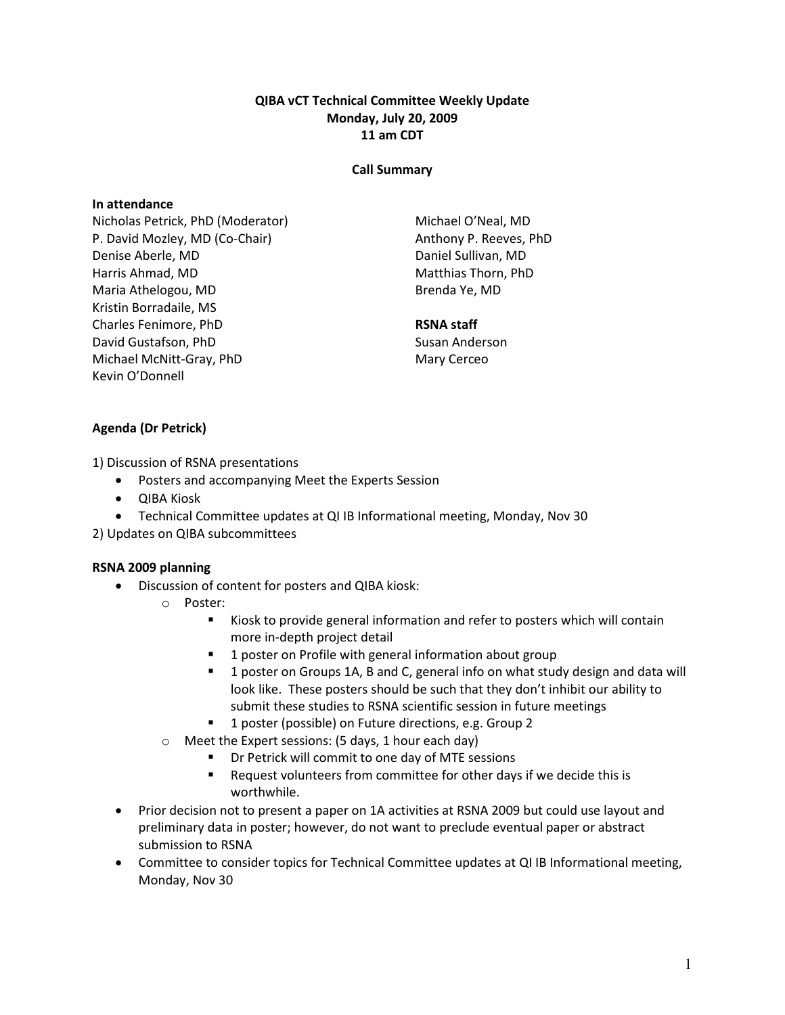## QIBA vCT Technical Committee Weekly Update Monday, July 20, 2009 11 am CDT

#### Call Summary

#### In attendance

Nicholas Petrick, PhD (Moderator) P. David Mozley, MD (Co-Chair) Denise Aberle, MD Harris Ahmad, MD Maria Athelogou, MD Kristin Borradaile, MS Charles Fenimore, PhD David Gustafson, PhD Michael McNitt-Gray, PhD Kevin O'Donnell

Michael O'Neal, MD Anthony P. Reeves, PhD Daniel Sullivan, MD Matthias Thorn, PhD Brenda Ye, MD

#### RSNA staff

Susan Anderson Mary Cerceo

# Agenda (Dr Petrick)

1) Discussion of RSNA presentations

- Posters and accompanying Meet the Experts Session
- QIBA Kiosk
- Technical Committee updates at QI IB Informational meeting, Monday, Nov 30
- 2) Updates on QIBA subcommittees

#### RSNA 2009 planning

- Discussion of content for posters and QIBA kiosk:
	- o Poster:
		- Kiosk to provide general information and refer to posters which will contain more in-depth project detail
		- **1** poster on Profile with general information about group
		- **1** poster on Groups 1A, B and C, general info on what study design and data will look like. These posters should be such that they don't inhibit our ability to submit these studies to RSNA scientific session in future meetings
		- 1 poster (possible) on Future directions, e.g. Group 2
	- o Meet the Expert sessions: (5 days, 1 hour each day)
		- Dr Petrick will commit to one day of MTE sessions
		- **Request volunteers from committee for other days if we decide this is** worthwhile.
- Prior decision not to present a paper on 1A activities at RSNA 2009 but could use layout and preliminary data in poster; however, do not want to preclude eventual paper or abstract submission to RSNA
- Committee to consider topics for Technical Committee updates at QI IB Informational meeting, Monday, Nov 30